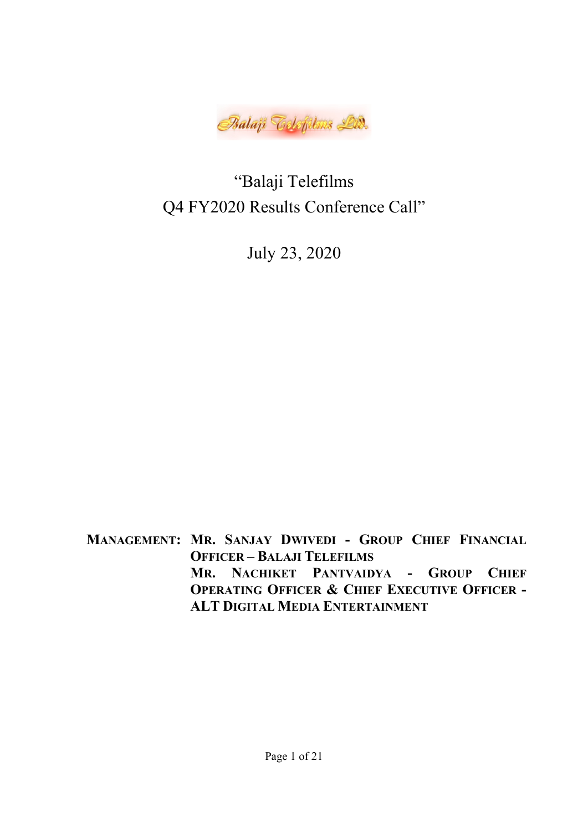

"Balaji Telefilms Q4 FY2020 Results Conference Call"

July 23, 2020

MANAGEMENT: MR. SANJAY DWIVEDI - GROUP CHIEF FINANCIAL OFFICER – BALAJI TELEFILMS MR. NACHIKET PANTVAIDYA - GROUP CHIEF OPERATING OFFICER & CHIEF EXECUTIVE OFFICER - ALT DIGITAL MEDIA ENTERTAINMENT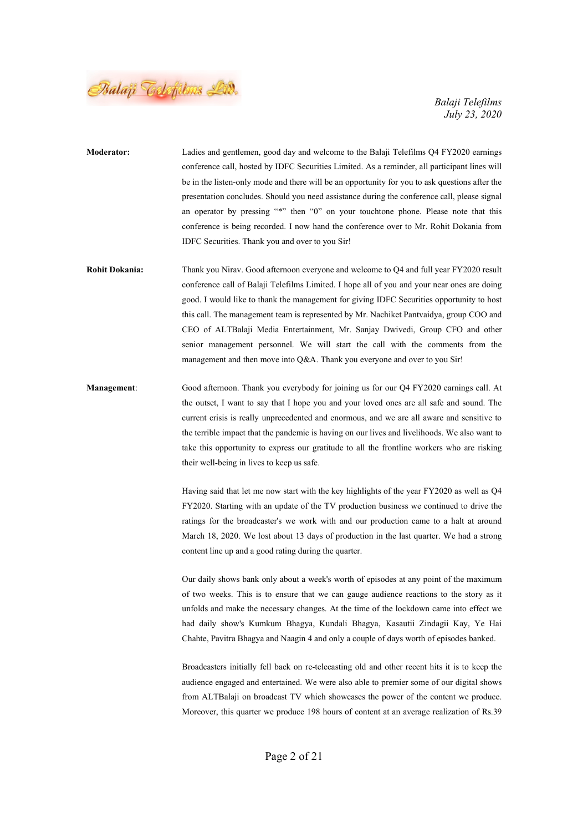

- Moderator: Ladies and gentlemen, good day and welcome to the Balaji Telefilms Q4 FY2020 earnings conference call, hosted by IDFC Securities Limited. As a reminder, all participant lines will be in the listen-only mode and there will be an opportunity for you to ask questions after the presentation concludes. Should you need assistance during the conference call, please signal an operator by pressing "\*" then "0" on your touchtone phone. Please note that this conference is being recorded. I now hand the conference over to Mr. Rohit Dokania from IDFC Securities. Thank you and over to you Sir!
- Rohit Dokania: Thank you Nirav. Good afternoon everyone and welcome to Q4 and full year FY2020 result conference call of Balaji Telefilms Limited. I hope all of you and your near ones are doing good. I would like to thank the management for giving IDFC Securities opportunity to host this call. The management team is represented by Mr. Nachiket Pantvaidya, group COO and CEO of ALTBalaji Media Entertainment, Mr. Sanjay Dwivedi, Group CFO and other senior management personnel. We will start the call with the comments from the management and then move into Q&A. Thank you everyone and over to you Sir!
- Management: Good afternoon. Thank you everybody for joining us for our Q4 FY2020 earnings call. At the outset, I want to say that I hope you and your loved ones are all safe and sound. The current crisis is really unprecedented and enormous, and we are all aware and sensitive to the terrible impact that the pandemic is having on our lives and livelihoods. We also want to take this opportunity to express our gratitude to all the frontline workers who are risking their well-being in lives to keep us safe.

Having said that let me now start with the key highlights of the year FY2020 as well as Q4 FY2020. Starting with an update of the TV production business we continued to drive the ratings for the broadcaster's we work with and our production came to a halt at around March 18, 2020. We lost about 13 days of production in the last quarter. We had a strong content line up and a good rating during the quarter.

Our daily shows bank only about a week's worth of episodes at any point of the maximum of two weeks. This is to ensure that we can gauge audience reactions to the story as it unfolds and make the necessary changes. At the time of the lockdown came into effect we had daily show's Kumkum Bhagya, Kundali Bhagya, Kasautii Zindagii Kay, Ye Hai Chahte, Pavitra Bhagya and Naagin 4 and only a couple of days worth of episodes banked.

Broadcasters initially fell back on re-telecasting old and other recent hits it is to keep the audience engaged and entertained. We were also able to premier some of our digital shows from ALTBalaji on broadcast TV which showcases the power of the content we produce. Moreover, this quarter we produce 198 hours of content at an average realization of Rs.39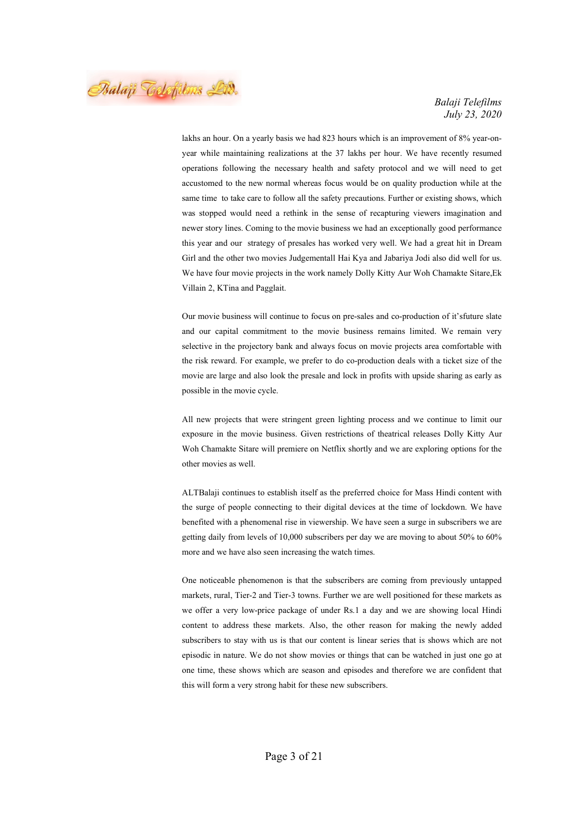Balaji Telefilms Lid.

lakhs an hour. On a yearly basis we had 823 hours which is an improvement of 8% year-onyear while maintaining realizations at the 37 lakhs per hour. We have recently resumed operations following the necessary health and safety protocol and we will need to get accustomed to the new normal whereas focus would be on quality production while at the same time to take care to follow all the safety precautions. Further or existing shows, which was stopped would need a rethink in the sense of recapturing viewers imagination and newer story lines. Coming to the movie business we had an exceptionally good performance this year and our strategy of presales has worked very well. We had a great hit in Dream Girl and the other two movies Judgementall Hai Kya and Jabariya Jodi also did well for us. We have four movie projects in the work namely Dolly Kitty Aur Woh Chamakte Sitare,Ek Villain 2, KTina and Pagglait.

Our movie business will continue to focus on pre-sales and co-production of it'sfuture slate and our capital commitment to the movie business remains limited. We remain very selective in the projectory bank and always focus on movie projects area comfortable with the risk reward. For example, we prefer to do co-production deals with a ticket size of the movie are large and also look the presale and lock in profits with upside sharing as early as possible in the movie cycle.

All new projects that were stringent green lighting process and we continue to limit our exposure in the movie business. Given restrictions of theatrical releases Dolly Kitty Aur Woh Chamakte Sitare will premiere on Netflix shortly and we are exploring options for the other movies as well.

ALTBalaji continues to establish itself as the preferred choice for Mass Hindi content with the surge of people connecting to their digital devices at the time of lockdown. We have benefited with a phenomenal rise in viewership. We have seen a surge in subscribers we are getting daily from levels of 10,000 subscribers per day we are moving to about 50% to 60% more and we have also seen increasing the watch times.

One noticeable phenomenon is that the subscribers are coming from previously untapped markets, rural, Tier-2 and Tier-3 towns. Further we are well positioned for these markets as we offer a very low-price package of under Rs.1 a day and we are showing local Hindi content to address these markets. Also, the other reason for making the newly added subscribers to stay with us is that our content is linear series that is shows which are not episodic in nature. We do not show movies or things that can be watched in just one go at one time, these shows which are season and episodes and therefore we are confident that this will form a very strong habit for these new subscribers.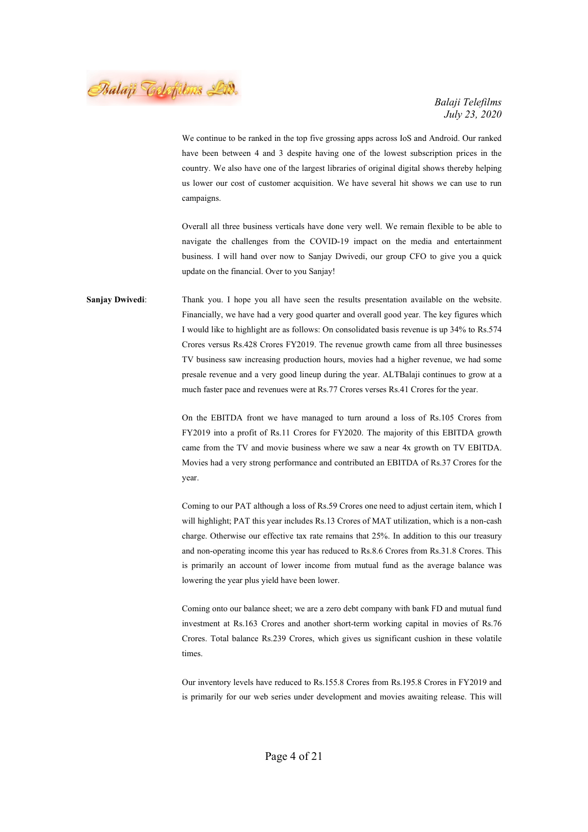Balaji Telefilms Lid.

We continue to be ranked in the top five grossing apps across IoS and Android. Our ranked have been between 4 and 3 despite having one of the lowest subscription prices in the country. We also have one of the largest libraries of original digital shows thereby helping us lower our cost of customer acquisition. We have several hit shows we can use to run campaigns.

Overall all three business verticals have done very well. We remain flexible to be able to navigate the challenges from the COVID-19 impact on the media and entertainment business. I will hand over now to Sanjay Dwivedi, our group CFO to give you a quick update on the financial. Over to you Sanjay!

Sanjay Dwivedi: Thank you. I hope you all have seen the results presentation available on the website. Financially, we have had a very good quarter and overall good year. The key figures which I would like to highlight are as follows: On consolidated basis revenue is up 34% to Rs.574 Crores versus Rs.428 Crores FY2019. The revenue growth came from all three businesses TV business saw increasing production hours, movies had a higher revenue, we had some presale revenue and a very good lineup during the year. ALTBalaji continues to grow at a much faster pace and revenues were at Rs.77 Crores verses Rs.41 Crores for the year.

> On the EBITDA front we have managed to turn around a loss of Rs.105 Crores from FY2019 into a profit of Rs.11 Crores for FY2020. The majority of this EBITDA growth came from the TV and movie business where we saw a near 4x growth on TV EBITDA. Movies had a very strong performance and contributed an EBITDA of Rs.37 Crores for the year.

> Coming to our PAT although a loss of Rs.59 Crores one need to adjust certain item, which I will highlight; PAT this year includes Rs.13 Crores of MAT utilization, which is a non-cash charge. Otherwise our effective tax rate remains that 25%. In addition to this our treasury and non-operating income this year has reduced to Rs.8.6 Crores from Rs.31.8 Crores. This is primarily an account of lower income from mutual fund as the average balance was lowering the year plus yield have been lower.

> Coming onto our balance sheet; we are a zero debt company with bank FD and mutual fund investment at Rs.163 Crores and another short-term working capital in movies of Rs.76 Crores. Total balance Rs.239 Crores, which gives us significant cushion in these volatile times.

> Our inventory levels have reduced to Rs.155.8 Crores from Rs.195.8 Crores in FY2019 and is primarily for our web series under development and movies awaiting release. This will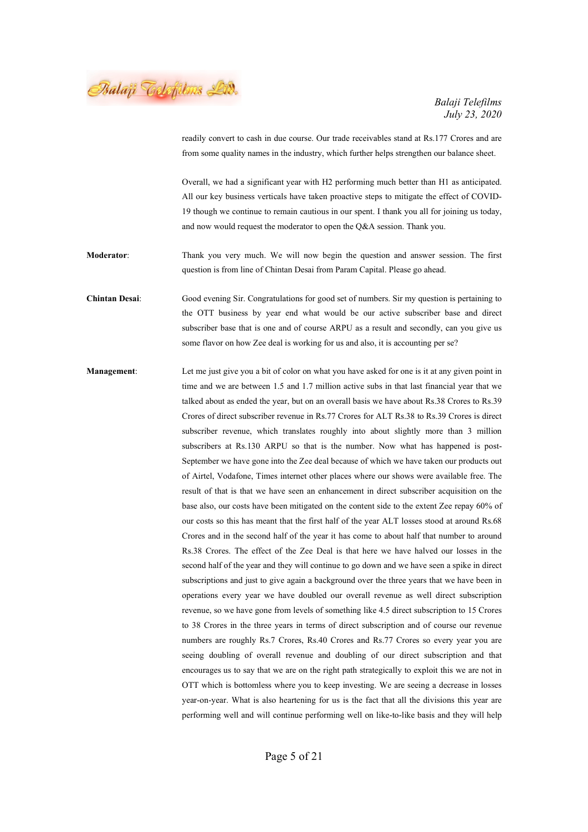Balaji Telefilms Lid.

readily convert to cash in due course. Our trade receivables stand at Rs.177 Crores and are from some quality names in the industry, which further helps strengthen our balance sheet.

Overall, we had a significant year with H2 performing much better than H1 as anticipated. All our key business verticals have taken proactive steps to mitigate the effect of COVID-19 though we continue to remain cautious in our spent. I thank you all for joining us today, and now would request the moderator to open the Q&A session. Thank you.

Moderator: Thank you very much. We will now begin the question and answer session. The first question is from line of Chintan Desai from Param Capital. Please go ahead.

Chintan Desai: Good evening Sir. Congratulations for good set of numbers. Sir my question is pertaining to the OTT business by year end what would be our active subscriber base and direct subscriber base that is one and of course ARPU as a result and secondly, can you give us some flavor on how Zee deal is working for us and also, it is accounting per se?

Management: Let me just give you a bit of color on what you have asked for one is it at any given point in time and we are between 1.5 and 1.7 million active subs in that last financial year that we talked about as ended the year, but on an overall basis we have about Rs.38 Crores to Rs.39 Crores of direct subscriber revenue in Rs.77 Crores for ALT Rs.38 to Rs.39 Crores is direct subscriber revenue, which translates roughly into about slightly more than 3 million subscribers at Rs.130 ARPU so that is the number. Now what has happened is post-September we have gone into the Zee deal because of which we have taken our products out of Airtel, Vodafone, Times internet other places where our shows were available free. The result of that is that we have seen an enhancement in direct subscriber acquisition on the base also, our costs have been mitigated on the content side to the extent Zee repay 60% of our costs so this has meant that the first half of the year ALT losses stood at around Rs.68 Crores and in the second half of the year it has come to about half that number to around Rs.38 Crores. The effect of the Zee Deal is that here we have halved our losses in the second half of the year and they will continue to go down and we have seen a spike in direct subscriptions and just to give again a background over the three years that we have been in operations every year we have doubled our overall revenue as well direct subscription revenue, so we have gone from levels of something like 4.5 direct subscription to 15 Crores to 38 Crores in the three years in terms of direct subscription and of course our revenue numbers are roughly Rs.7 Crores, Rs.40 Crores and Rs.77 Crores so every year you are seeing doubling of overall revenue and doubling of our direct subscription and that encourages us to say that we are on the right path strategically to exploit this we are not in OTT which is bottomless where you to keep investing. We are seeing a decrease in losses year-on-year. What is also heartening for us is the fact that all the divisions this year are performing well and will continue performing well on like-to-like basis and they will help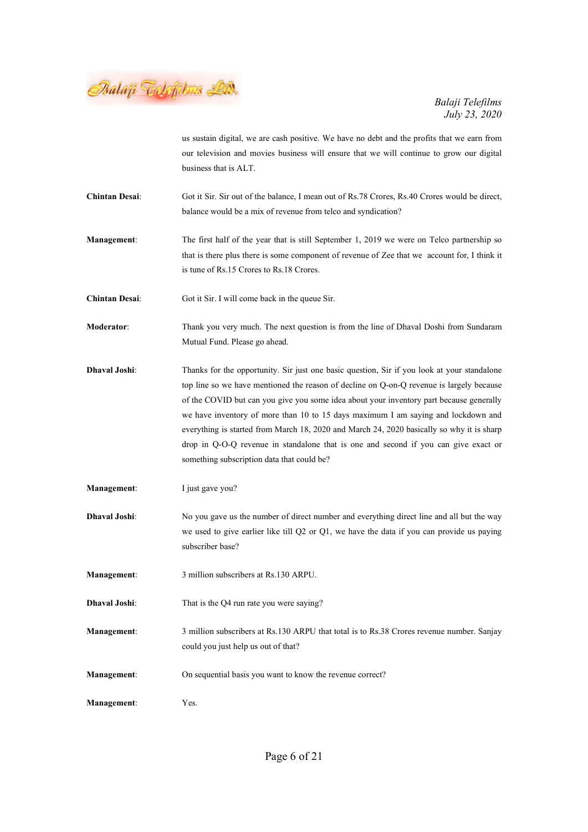Balaji Telefilms Lid.

us sustain digital, we are cash positive. We have no debt and the profits that we earn from our television and movies business will ensure that we will continue to grow our digital business that is ALT.

Chintan Desai: Got it Sir. Sir out of the balance, I mean out of Rs.78 Crores, Rs.40 Crores would be direct, balance would be a mix of revenue from telco and syndication?

Management: The first half of the year that is still September 1, 2019 we were on Telco partnership so that is there plus there is some component of revenue of Zee that we account for, I think it is tune of Rs.15 Crores to Rs.18 Crores.

- Chintan Desai: Got it Sir. I will come back in the queue Sir.
- Moderator: Thank you very much. The next question is from the line of Dhaval Doshi from Sundaram Mutual Fund. Please go ahead.
- Dhaval Joshi: Thanks for the opportunity. Sir just one basic question, Sir if you look at your standalone top line so we have mentioned the reason of decline on Q-on-Q revenue is largely because of the COVID but can you give you some idea about your inventory part because generally we have inventory of more than 10 to 15 days maximum I am saying and lockdown and everything is started from March 18, 2020 and March 24, 2020 basically so why it is sharp drop in Q-O-Q revenue in standalone that is one and second if you can give exact or something subscription data that could be?
- Management: I just gave you?
- Dhaval Joshi: No you gave us the number of direct number and everything direct line and all but the way we used to give earlier like till Q2 or Q1, we have the data if you can provide us paying subscriber base?
- Management: 3 million subscribers at Rs.130 ARPU.
- Dhaval Joshi: That is the Q4 run rate you were saying?
- Management: 3 million subscribers at Rs.130 ARPU that total is to Rs.38 Crores revenue number. Sanjay could you just help us out of that?
- Management: On sequential basis you want to know the revenue correct?
- Management: Yes.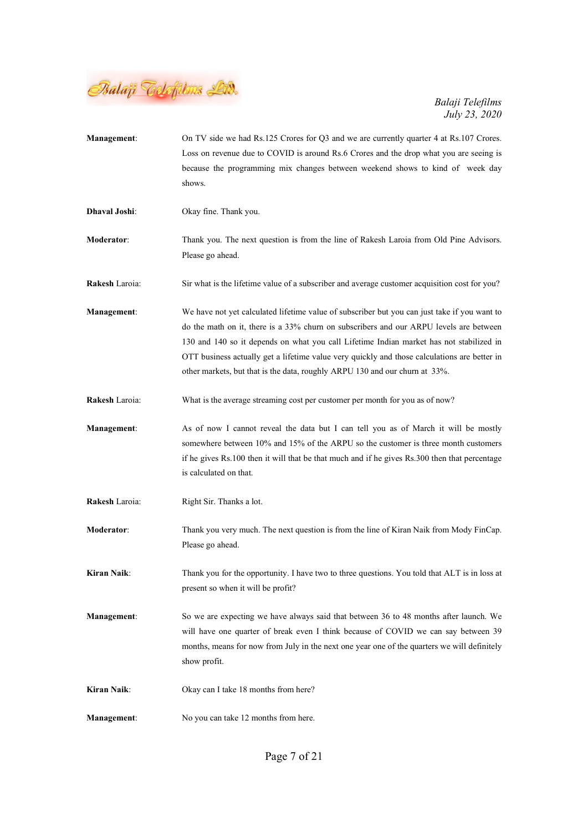

| <b>Management:</b> | On TV side we had Rs.125 Crores for Q3 and we are currently quarter 4 at Rs.107 Crores.<br>Loss on revenue due to COVID is around Rs.6 Crores and the drop what you are seeing is                                                                                                                                                                                                                                                                                |
|--------------------|------------------------------------------------------------------------------------------------------------------------------------------------------------------------------------------------------------------------------------------------------------------------------------------------------------------------------------------------------------------------------------------------------------------------------------------------------------------|
|                    | because the programming mix changes between weekend shows to kind of week day<br>shows.                                                                                                                                                                                                                                                                                                                                                                          |
| Dhaval Joshi:      | Okay fine. Thank you.                                                                                                                                                                                                                                                                                                                                                                                                                                            |
| <b>Moderator:</b>  | Thank you. The next question is from the line of Rakesh Laroia from Old Pine Advisors.<br>Please go ahead.                                                                                                                                                                                                                                                                                                                                                       |
| Rakesh Laroia:     | Sir what is the lifetime value of a subscriber and average customer acquisition cost for you?                                                                                                                                                                                                                                                                                                                                                                    |
| Management:        | We have not yet calculated lifetime value of subscriber but you can just take if you want to<br>do the math on it, there is a 33% churn on subscribers and our ARPU levels are between<br>130 and 140 so it depends on what you call Lifetime Indian market has not stabilized in<br>OTT business actually get a lifetime value very quickly and those calculations are better in<br>other markets, but that is the data, roughly ARPU 130 and our churn at 33%. |
| Rakesh Laroia:     | What is the average streaming cost per customer per month for you as of now?                                                                                                                                                                                                                                                                                                                                                                                     |
| Management:        | As of now I cannot reveal the data but I can tell you as of March it will be mostly<br>somewhere between 10% and 15% of the ARPU so the customer is three month customers<br>if he gives Rs.100 then it will that be that much and if he gives Rs.300 then that percentage<br>is calculated on that.                                                                                                                                                             |
| Rakesh Laroia:     | Right Sir. Thanks a lot.                                                                                                                                                                                                                                                                                                                                                                                                                                         |
| Moderator:         | Thank you very much. The next question is from the line of Kiran Naik from Mody FinCap.<br>Please go ahead.                                                                                                                                                                                                                                                                                                                                                      |
| Kiran Naik:        | Thank you for the opportunity. I have two to three questions. You told that ALT is in loss at<br>present so when it will be profit?                                                                                                                                                                                                                                                                                                                              |
| Management:        | So we are expecting we have always said that between 36 to 48 months after launch. We<br>will have one quarter of break even I think because of COVID we can say between 39<br>months, means for now from July in the next one year one of the quarters we will definitely<br>show profit.                                                                                                                                                                       |
| <b>Kiran Naik:</b> | Okay can I take 18 months from here?                                                                                                                                                                                                                                                                                                                                                                                                                             |
| <b>Management:</b> | No you can take 12 months from here.                                                                                                                                                                                                                                                                                                                                                                                                                             |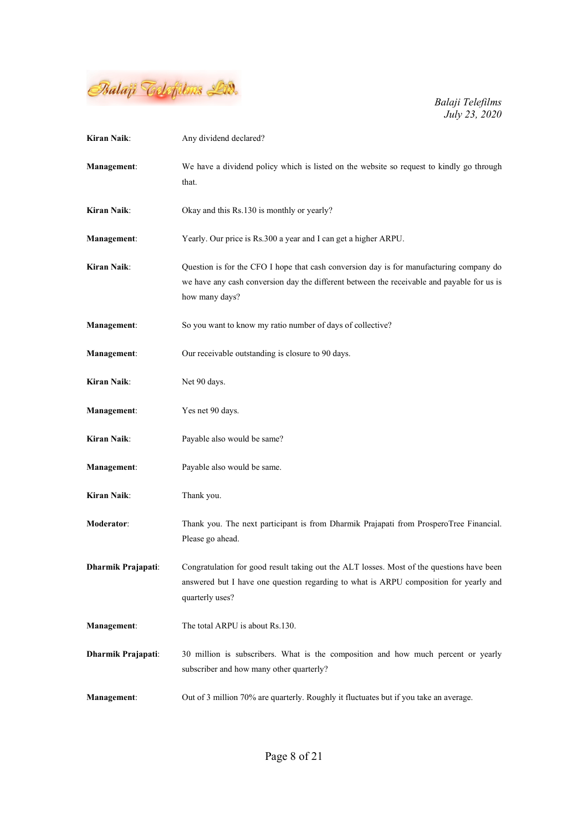

| Kiran Naik:        | Any dividend declared?                                                                                                                                                                                  |
|--------------------|---------------------------------------------------------------------------------------------------------------------------------------------------------------------------------------------------------|
| Management:        | We have a dividend policy which is listed on the website so request to kindly go through<br>that.                                                                                                       |
| Kiran Naik:        | Okay and this Rs.130 is monthly or yearly?                                                                                                                                                              |
| Management:        | Yearly. Our price is Rs.300 a year and I can get a higher ARPU.                                                                                                                                         |
| <b>Kiran Naik:</b> | Question is for the CFO I hope that cash conversion day is for manufacturing company do<br>we have any cash conversion day the different between the receivable and payable for us is<br>how many days? |
| Management:        | So you want to know my ratio number of days of collective?                                                                                                                                              |
| Management:        | Our receivable outstanding is closure to 90 days.                                                                                                                                                       |
| <b>Kiran Naik:</b> | Net 90 days.                                                                                                                                                                                            |
| <b>Management:</b> | Yes net 90 days.                                                                                                                                                                                        |
| Kiran Naik:        | Payable also would be same?                                                                                                                                                                             |
| <b>Management:</b> | Payable also would be same.                                                                                                                                                                             |
| Kiran Naik:        | Thank you.                                                                                                                                                                                              |
| <b>Moderator:</b>  | Thank you. The next participant is from Dharmik Prajapati from ProsperoTree Financial.<br>Please go ahead.                                                                                              |
| Dharmik Prajapati: | Congratulation for good result taking out the ALT losses. Most of the questions have been<br>answered but I have one question regarding to what is ARPU composition for yearly and<br>quarterly uses?   |
| Management:        | The total ARPU is about Rs.130.                                                                                                                                                                         |
| Dharmik Prajapati: | 30 million is subscribers. What is the composition and how much percent or yearly<br>subscriber and how many other quarterly?                                                                           |
| Management:        | Out of 3 million 70% are quarterly. Roughly it fluctuates but if you take an average.                                                                                                                   |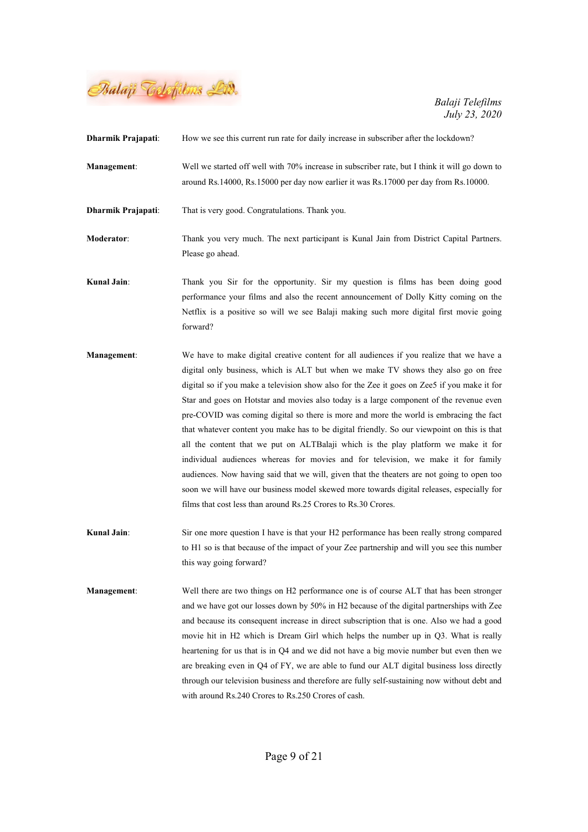

| Dharmik Prajapati: | How we see this current run rate for daily increase in subscriber after the lockdown?                                                                                                                                                                                                                                                                                                                                                                                                                                                                                                                                                                                                                                                                                                                                                                                                                                                                                                                      |
|--------------------|------------------------------------------------------------------------------------------------------------------------------------------------------------------------------------------------------------------------------------------------------------------------------------------------------------------------------------------------------------------------------------------------------------------------------------------------------------------------------------------------------------------------------------------------------------------------------------------------------------------------------------------------------------------------------------------------------------------------------------------------------------------------------------------------------------------------------------------------------------------------------------------------------------------------------------------------------------------------------------------------------------|
| Management:        | Well we started off well with 70% increase in subscriber rate, but I think it will go down to<br>around Rs.14000, Rs.15000 per day now earlier it was Rs.17000 per day from Rs.10000.                                                                                                                                                                                                                                                                                                                                                                                                                                                                                                                                                                                                                                                                                                                                                                                                                      |
| Dharmik Prajapati: | That is very good. Congratulations. Thank you.                                                                                                                                                                                                                                                                                                                                                                                                                                                                                                                                                                                                                                                                                                                                                                                                                                                                                                                                                             |
| <b>Moderator:</b>  | Thank you very much. The next participant is Kunal Jain from District Capital Partners.<br>Please go ahead.                                                                                                                                                                                                                                                                                                                                                                                                                                                                                                                                                                                                                                                                                                                                                                                                                                                                                                |
| <b>Kunal Jain:</b> | Thank you Sir for the opportunity. Sir my question is films has been doing good<br>performance your films and also the recent announcement of Dolly Kitty coming on the<br>Netflix is a positive so will we see Balaji making such more digital first movie going<br>forward?                                                                                                                                                                                                                                                                                                                                                                                                                                                                                                                                                                                                                                                                                                                              |
| Management:        | We have to make digital creative content for all audiences if you realize that we have a<br>digital only business, which is ALT but when we make TV shows they also go on free<br>digital so if you make a television show also for the Zee it goes on Zee5 if you make it for<br>Star and goes on Hotstar and movies also today is a large component of the revenue even<br>pre-COVID was coming digital so there is more and more the world is embracing the fact<br>that whatever content you make has to be digital friendly. So our viewpoint on this is that<br>all the content that we put on ALTBalaji which is the play platform we make it for<br>individual audiences whereas for movies and for television, we make it for family<br>audiences. Now having said that we will, given that the theaters are not going to open too<br>soon we will have our business model skewed more towards digital releases, especially for<br>films that cost less than around Rs.25 Crores to Rs.30 Crores. |
| <b>Kunal Jain:</b> | Sir one more question I have is that your H2 performance has been really strong compared<br>to H1 so is that because of the impact of your Zee partnership and will you see this number<br>this way going forward?                                                                                                                                                                                                                                                                                                                                                                                                                                                                                                                                                                                                                                                                                                                                                                                         |
| <b>Management:</b> | Well there are two things on H2 performance one is of course ALT that has been stronger<br>and we have got our losses down by 50% in H2 because of the digital partnerships with Zee<br>and because its consequent increase in direct subscription that is one. Also we had a good<br>movie hit in H2 which is Dream Girl which helps the number up in Q3. What is really<br>heartening for us that is in Q4 and we did not have a big movie number but even then we<br>are breaking even in Q4 of FY, we are able to fund our ALT digital business loss directly<br>through our television business and therefore are fully self-sustaining now without debt and<br>with around Rs.240 Crores to Rs.250 Crores of cash.                                                                                                                                                                                                                                                                                   |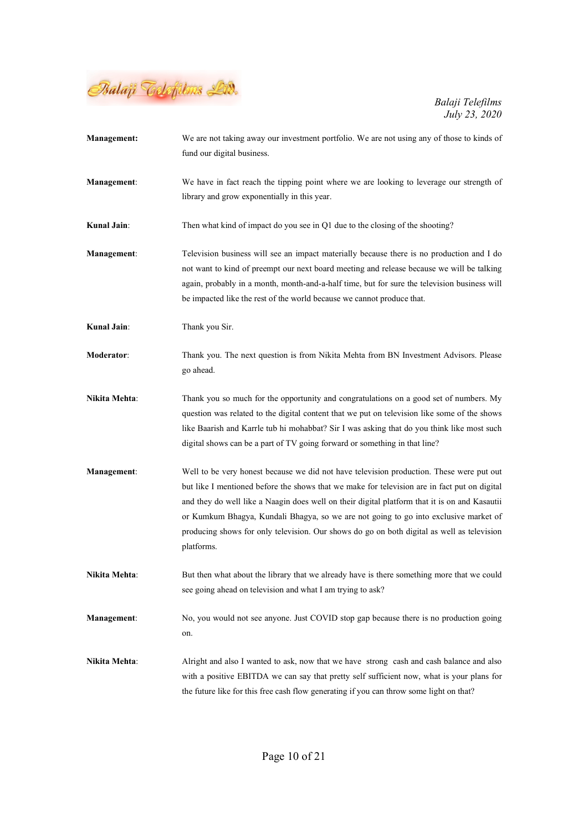

| <b>Management:</b>   | We are not taking away our investment portfolio. We are not using any of those to kinds of    |
|----------------------|-----------------------------------------------------------------------------------------------|
|                      | fund our digital business.                                                                    |
| Management:          | We have in fact reach the tipping point where we are looking to leverage our strength of      |
|                      | library and grow exponentially in this year.                                                  |
| <b>Kunal Jain:</b>   | Then what kind of impact do you see in Q1 due to the closing of the shooting?                 |
| Management:          | Television business will see an impact materially because there is no production and I do     |
|                      | not want to kind of preempt our next board meeting and release because we will be talking     |
|                      | again, probably in a month, month-and-a-half time, but for sure the television business will  |
|                      | be impacted like the rest of the world because we cannot produce that.                        |
| <b>Kunal Jain:</b>   | Thank you Sir.                                                                                |
| Moderator:           | Thank you. The next question is from Nikita Mehta from BN Investment Advisors. Please         |
|                      | go ahead.                                                                                     |
| <b>Nikita Mehta:</b> | Thank you so much for the opportunity and congratulations on a good set of numbers. My        |
|                      | question was related to the digital content that we put on television like some of the shows  |
|                      | like Baarish and Karrle tub hi mohabbat? Sir I was asking that do you think like most such    |
|                      | digital shows can be a part of TV going forward or something in that line?                    |
| <b>Management:</b>   | Well to be very honest because we did not have television production. These were put out      |
|                      | but like I mentioned before the shows that we make for television are in fact put on digital  |
|                      | and they do well like a Naagin does well on their digital platform that it is on and Kasautii |
|                      | or Kumkum Bhagya, Kundali Bhagya, so we are not going to go into exclusive market of          |
|                      | producing shows for only television. Our shows do go on both digital as well as television    |
|                      | platforms.                                                                                    |
| Nikita Mehta:        | But then what about the library that we already have is there something more that we could    |
|                      | see going ahead on television and what I am trying to ask?                                    |
| <b>Management:</b>   | No, you would not see anyone. Just COVID stop gap because there is no production going        |
|                      | on.                                                                                           |
| Nikita Mehta:        | Alright and also I wanted to ask, now that we have strong cash and cash balance and also      |
|                      | with a positive EBITDA we can say that pretty self sufficient now, what is your plans for     |
|                      | the future like for this free cash flow generating if you can throw some light on that?       |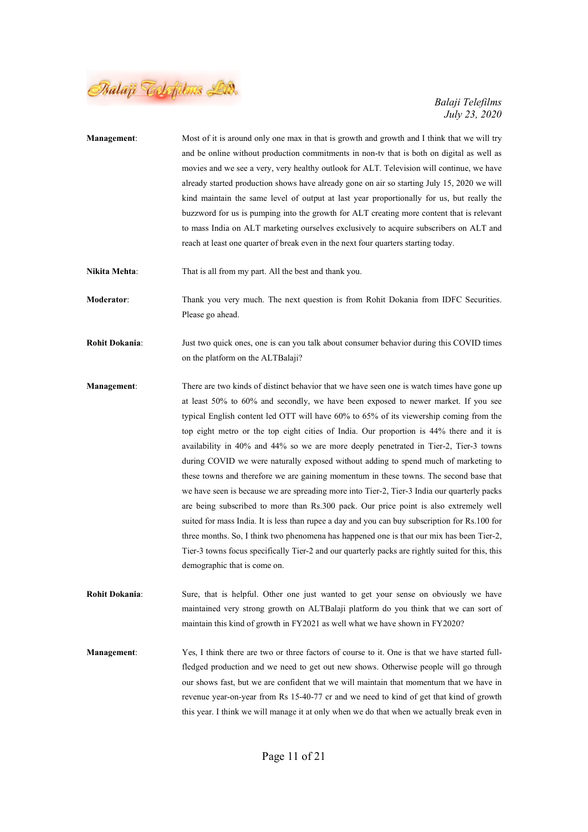

| Management:           | Most of it is around only one max in that is growth and growth and I think that we will try<br>and be online without production commitments in non-tv that is both on digital as well as<br>movies and we see a very, very healthy outlook for ALT. Television will continue, we have<br>already started production shows have already gone on air so starting July 15, 2020 we will<br>kind maintain the same level of output at last year proportionally for us, but really the<br>buzzword for us is pumping into the growth for ALT creating more content that is relevant<br>to mass India on ALT marketing ourselves exclusively to acquire subscribers on ALT and<br>reach at least one quarter of break even in the next four quarters starting today.                                                                                                                                                                                                                                                                                                                                                                                                            |
|-----------------------|---------------------------------------------------------------------------------------------------------------------------------------------------------------------------------------------------------------------------------------------------------------------------------------------------------------------------------------------------------------------------------------------------------------------------------------------------------------------------------------------------------------------------------------------------------------------------------------------------------------------------------------------------------------------------------------------------------------------------------------------------------------------------------------------------------------------------------------------------------------------------------------------------------------------------------------------------------------------------------------------------------------------------------------------------------------------------------------------------------------------------------------------------------------------------|
| Nikita Mehta:         | That is all from my part. All the best and thank you.                                                                                                                                                                                                                                                                                                                                                                                                                                                                                                                                                                                                                                                                                                                                                                                                                                                                                                                                                                                                                                                                                                                     |
| Moderator:            | Thank you very much. The next question is from Rohit Dokania from IDFC Securities.<br>Please go ahead.                                                                                                                                                                                                                                                                                                                                                                                                                                                                                                                                                                                                                                                                                                                                                                                                                                                                                                                                                                                                                                                                    |
| <b>Rohit Dokania:</b> | Just two quick ones, one is can you talk about consumer behavior during this COVID times<br>on the platform on the ALTBalaji?                                                                                                                                                                                                                                                                                                                                                                                                                                                                                                                                                                                                                                                                                                                                                                                                                                                                                                                                                                                                                                             |
| <b>Management:</b>    | There are two kinds of distinct behavior that we have seen one is watch times have gone up<br>at least 50% to 60% and secondly, we have been exposed to newer market. If you see<br>typical English content led OTT will have 60% to 65% of its viewership coming from the<br>top eight metro or the top eight cities of India. Our proportion is 44% there and it is<br>availability in 40% and 44% so we are more deeply penetrated in Tier-2, Tier-3 towns<br>during COVID we were naturally exposed without adding to spend much of marketing to<br>these towns and therefore we are gaining momentum in these towns. The second base that<br>we have seen is because we are spreading more into Tier-2, Tier-3 India our quarterly packs<br>are being subscribed to more than Rs.300 pack. Our price point is also extremely well<br>suited for mass India. It is less than rupee a day and you can buy subscription for Rs.100 for<br>three months. So, I think two phenomena has happened one is that our mix has been Tier-2,<br>Tier-3 towns focus specifically Tier-2 and our quarterly packs are rightly suited for this, this<br>demographic that is come on. |
| <b>Rohit Dokania:</b> | Sure, that is helpful. Other one just wanted to get your sense on obviously we have<br>maintained very strong growth on ALTBalaji platform do you think that we can sort of<br>maintain this kind of growth in FY2021 as well what we have shown in FY2020?                                                                                                                                                                                                                                                                                                                                                                                                                                                                                                                                                                                                                                                                                                                                                                                                                                                                                                               |
| <b>Management:</b>    | Yes, I think there are two or three factors of course to it. One is that we have started full-<br>fledged production and we need to get out new shows. Otherwise people will go through<br>our shows fast, but we are confident that we will maintain that momentum that we have in<br>revenue year-on-year from Rs 15-40-77 cr and we need to kind of get that kind of growth<br>this year. I think we will manage it at only when we do that when we actually break even in                                                                                                                                                                                                                                                                                                                                                                                                                                                                                                                                                                                                                                                                                             |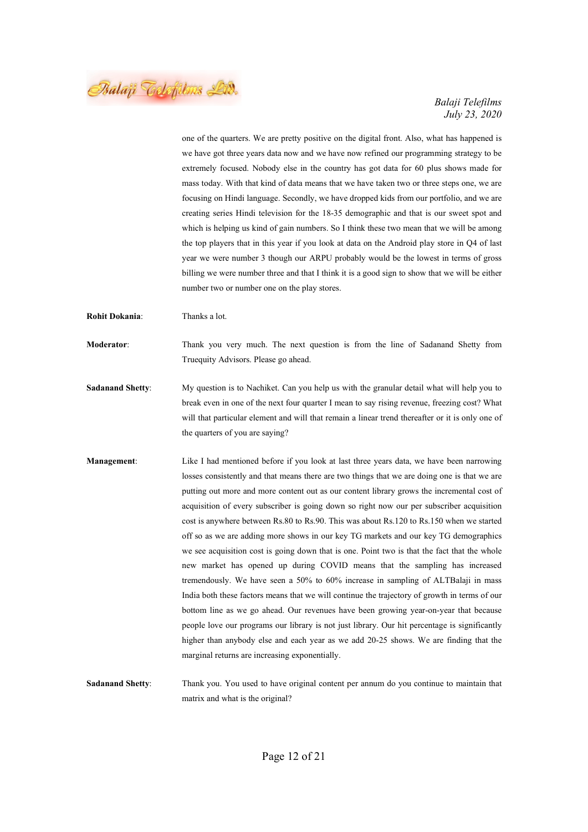Balaji Telefilms Lid.

one of the quarters. We are pretty positive on the digital front. Also, what has happened is we have got three years data now and we have now refined our programming strategy to be extremely focused. Nobody else in the country has got data for 60 plus shows made for mass today. With that kind of data means that we have taken two or three steps one, we are focusing on Hindi language. Secondly, we have dropped kids from our portfolio, and we are creating series Hindi television for the 18-35 demographic and that is our sweet spot and which is helping us kind of gain numbers. So I think these two mean that we will be among the top players that in this year if you look at data on the Android play store in Q4 of last year we were number 3 though our ARPU probably would be the lowest in terms of gross billing we were number three and that I think it is a good sign to show that we will be either number two or number one on the play stores.

Rohit Dokania: Thanks a lot.

Moderator: Thank you very much. The next question is from the line of Sadanand Shetty from Truequity Advisors. Please go ahead.

Sadanand Shetty: My question is to Nachiket. Can you help us with the granular detail what will help you to break even in one of the next four quarter I mean to say rising revenue, freezing cost? What will that particular element and will that remain a linear trend thereafter or it is only one of the quarters of you are saying?

Management: Like I had mentioned before if you look at last three years data, we have been narrowing losses consistently and that means there are two things that we are doing one is that we are putting out more and more content out as our content library grows the incremental cost of acquisition of every subscriber is going down so right now our per subscriber acquisition cost is anywhere between Rs.80 to Rs.90. This was about Rs.120 to Rs.150 when we started off so as we are adding more shows in our key TG markets and our key TG demographics we see acquisition cost is going down that is one. Point two is that the fact that the whole new market has opened up during COVID means that the sampling has increased tremendously. We have seen a 50% to 60% increase in sampling of ALTBalaji in mass India both these factors means that we will continue the trajectory of growth in terms of our bottom line as we go ahead. Our revenues have been growing year-on-year that because people love our programs our library is not just library. Our hit percentage is significantly higher than anybody else and each year as we add 20-25 shows. We are finding that the marginal returns are increasing exponentially.

Sadanand Shetty: Thank you. You used to have original content per annum do you continue to maintain that matrix and what is the original?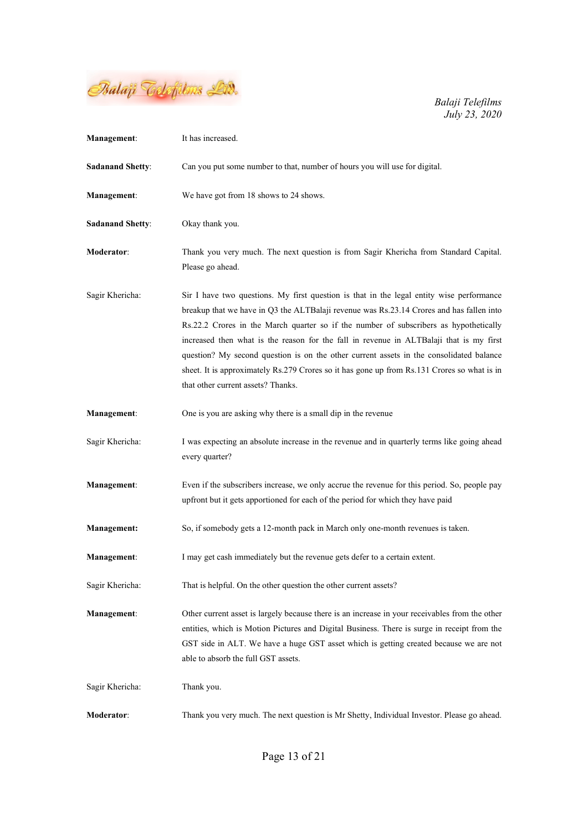

| <b>Management:</b>      | It has increased.                                                                                                                                                                                                                                                                                                                                                                                                                                                                                                                                                                                        |
|-------------------------|----------------------------------------------------------------------------------------------------------------------------------------------------------------------------------------------------------------------------------------------------------------------------------------------------------------------------------------------------------------------------------------------------------------------------------------------------------------------------------------------------------------------------------------------------------------------------------------------------------|
| <b>Sadanand Shetty:</b> | Can you put some number to that, number of hours you will use for digital.                                                                                                                                                                                                                                                                                                                                                                                                                                                                                                                               |
| <b>Management:</b>      | We have got from 18 shows to 24 shows.                                                                                                                                                                                                                                                                                                                                                                                                                                                                                                                                                                   |
| <b>Sadanand Shetty:</b> | Okay thank you.                                                                                                                                                                                                                                                                                                                                                                                                                                                                                                                                                                                          |
| <b>Moderator:</b>       | Thank you very much. The next question is from Sagir Khericha from Standard Capital.<br>Please go ahead.                                                                                                                                                                                                                                                                                                                                                                                                                                                                                                 |
| Sagir Khericha:         | Sir I have two questions. My first question is that in the legal entity wise performance<br>breakup that we have in Q3 the ALTBalaji revenue was Rs.23.14 Crores and has fallen into<br>Rs.22.2 Crores in the March quarter so if the number of subscribers as hypothetically<br>increased then what is the reason for the fall in revenue in ALTBalaji that is my first<br>question? My second question is on the other current assets in the consolidated balance<br>sheet. It is approximately Rs.279 Crores so it has gone up from Rs.131 Crores so what is in<br>that other current assets? Thanks. |
| Management:             | One is you are asking why there is a small dip in the revenue                                                                                                                                                                                                                                                                                                                                                                                                                                                                                                                                            |
| Sagir Khericha:         | I was expecting an absolute increase in the revenue and in quarterly terms like going ahead<br>every quarter?                                                                                                                                                                                                                                                                                                                                                                                                                                                                                            |
| <b>Management:</b>      | Even if the subscribers increase, we only accrue the revenue for this period. So, people pay<br>upfront but it gets apportioned for each of the period for which they have paid                                                                                                                                                                                                                                                                                                                                                                                                                          |
| <b>Management:</b>      | So, if somebody gets a 12-month pack in March only one-month revenues is taken.                                                                                                                                                                                                                                                                                                                                                                                                                                                                                                                          |
| <b>Management:</b>      | I may get cash immediately but the revenue gets defer to a certain extent.                                                                                                                                                                                                                                                                                                                                                                                                                                                                                                                               |
| Sagir Khericha:         | That is helpful. On the other question the other current assets?                                                                                                                                                                                                                                                                                                                                                                                                                                                                                                                                         |
| <b>Management:</b>      | Other current asset is largely because there is an increase in your receivables from the other<br>entities, which is Motion Pictures and Digital Business. There is surge in receipt from the<br>GST side in ALT. We have a huge GST asset which is getting created because we are not<br>able to absorb the full GST assets.                                                                                                                                                                                                                                                                            |
| Sagir Khericha:         | Thank you.                                                                                                                                                                                                                                                                                                                                                                                                                                                                                                                                                                                               |
| Moderator:              | Thank you very much. The next question is Mr Shetty, Individual Investor. Please go ahead.                                                                                                                                                                                                                                                                                                                                                                                                                                                                                                               |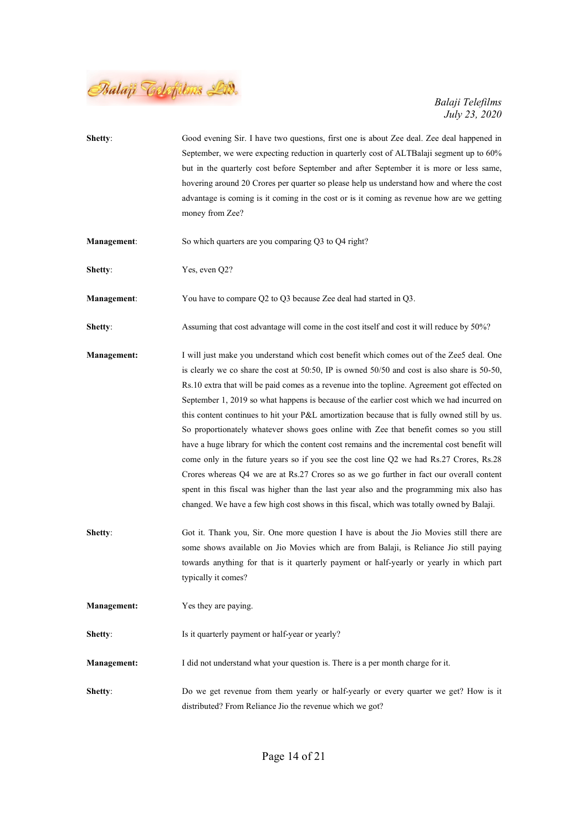

| Shetty:            | Good evening Sir. I have two questions, first one is about Zee deal. Zee deal happened in<br>September, we were expecting reduction in quarterly cost of ALTBalaji segment up to 60%<br>but in the quarterly cost before September and after September it is more or less same,<br>hovering around 20 Crores per quarter so please help us understand how and where the cost<br>advantage is coming is it coming in the cost or is it coming as revenue how are we getting<br>money from Zee?                                                                                                                                                                                                                                                                                                                                                                                                                                                                                                                                                                     |
|--------------------|-------------------------------------------------------------------------------------------------------------------------------------------------------------------------------------------------------------------------------------------------------------------------------------------------------------------------------------------------------------------------------------------------------------------------------------------------------------------------------------------------------------------------------------------------------------------------------------------------------------------------------------------------------------------------------------------------------------------------------------------------------------------------------------------------------------------------------------------------------------------------------------------------------------------------------------------------------------------------------------------------------------------------------------------------------------------|
| <b>Management:</b> | So which quarters are you comparing Q3 to Q4 right?                                                                                                                                                                                                                                                                                                                                                                                                                                                                                                                                                                                                                                                                                                                                                                                                                                                                                                                                                                                                               |
| Shetty:            | Yes, even Q2?                                                                                                                                                                                                                                                                                                                                                                                                                                                                                                                                                                                                                                                                                                                                                                                                                                                                                                                                                                                                                                                     |
| Management:        | You have to compare Q2 to Q3 because Zee deal had started in Q3.                                                                                                                                                                                                                                                                                                                                                                                                                                                                                                                                                                                                                                                                                                                                                                                                                                                                                                                                                                                                  |
| Shetty:            | Assuming that cost advantage will come in the cost itself and cost it will reduce by 50%?                                                                                                                                                                                                                                                                                                                                                                                                                                                                                                                                                                                                                                                                                                                                                                                                                                                                                                                                                                         |
| <b>Management:</b> | I will just make you understand which cost benefit which comes out of the Zee5 deal. One<br>is clearly we co share the cost at 50:50, IP is owned $50/50$ and cost is also share is 50-50,<br>Rs.10 extra that will be paid comes as a revenue into the topline. Agreement got effected on<br>September 1, 2019 so what happens is because of the earlier cost which we had incurred on<br>this content continues to hit your P&L amortization because that is fully owned still by us.<br>So proportionately whatever shows goes online with Zee that benefit comes so you still<br>have a huge library for which the content cost remains and the incremental cost benefit will<br>come only in the future years so if you see the cost line Q2 we had Rs.27 Crores, Rs.28<br>Crores whereas Q4 we are at Rs.27 Crores so as we go further in fact our overall content<br>spent in this fiscal was higher than the last year also and the programming mix also has<br>changed. We have a few high cost shows in this fiscal, which was totally owned by Balaji. |
| Shetty:            | Got it. Thank you, Sir. One more question I have is about the Jio Movies still there are<br>some shows available on Jio Movies which are from Balaji, is Reliance Jio still paying<br>towards anything for that is it quarterly payment or half-yearly or yearly in which part<br>typically it comes?                                                                                                                                                                                                                                                                                                                                                                                                                                                                                                                                                                                                                                                                                                                                                             |
| <b>Management:</b> | Yes they are paying.                                                                                                                                                                                                                                                                                                                                                                                                                                                                                                                                                                                                                                                                                                                                                                                                                                                                                                                                                                                                                                              |
| Shetty:            | Is it quarterly payment or half-year or yearly?                                                                                                                                                                                                                                                                                                                                                                                                                                                                                                                                                                                                                                                                                                                                                                                                                                                                                                                                                                                                                   |
| <b>Management:</b> | I did not understand what your question is. There is a per month charge for it.                                                                                                                                                                                                                                                                                                                                                                                                                                                                                                                                                                                                                                                                                                                                                                                                                                                                                                                                                                                   |
| Shetty:            | Do we get revenue from them yearly or half-yearly or every quarter we get? How is it<br>distributed? From Reliance Jio the revenue which we got?                                                                                                                                                                                                                                                                                                                                                                                                                                                                                                                                                                                                                                                                                                                                                                                                                                                                                                                  |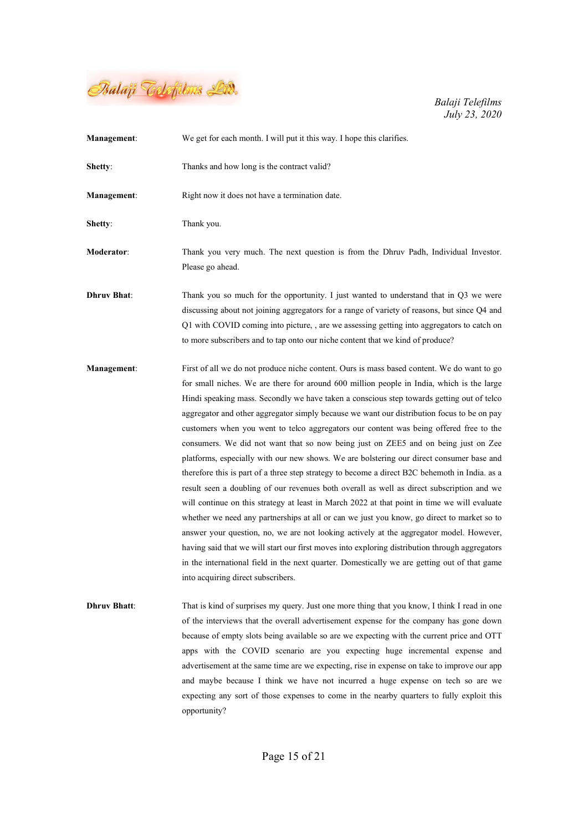

| <b>Management:</b>  | We get for each month. I will put it this way. I hope this clarifies.                                                                                                                                                                                                                                                                                                                                                                                                                                                                                                                                                                                                                                                                                                                                                                                                                                                                                                                                                                                                                                                                                                                                                                                                                                                                                                                          |
|---------------------|------------------------------------------------------------------------------------------------------------------------------------------------------------------------------------------------------------------------------------------------------------------------------------------------------------------------------------------------------------------------------------------------------------------------------------------------------------------------------------------------------------------------------------------------------------------------------------------------------------------------------------------------------------------------------------------------------------------------------------------------------------------------------------------------------------------------------------------------------------------------------------------------------------------------------------------------------------------------------------------------------------------------------------------------------------------------------------------------------------------------------------------------------------------------------------------------------------------------------------------------------------------------------------------------------------------------------------------------------------------------------------------------|
| Shetty:             | Thanks and how long is the contract valid?                                                                                                                                                                                                                                                                                                                                                                                                                                                                                                                                                                                                                                                                                                                                                                                                                                                                                                                                                                                                                                                                                                                                                                                                                                                                                                                                                     |
| Management:         | Right now it does not have a termination date.                                                                                                                                                                                                                                                                                                                                                                                                                                                                                                                                                                                                                                                                                                                                                                                                                                                                                                                                                                                                                                                                                                                                                                                                                                                                                                                                                 |
| Shetty:             | Thank you.                                                                                                                                                                                                                                                                                                                                                                                                                                                                                                                                                                                                                                                                                                                                                                                                                                                                                                                                                                                                                                                                                                                                                                                                                                                                                                                                                                                     |
| <b>Moderator:</b>   | Thank you very much. The next question is from the Dhruv Padh, Individual Investor.<br>Please go ahead.                                                                                                                                                                                                                                                                                                                                                                                                                                                                                                                                                                                                                                                                                                                                                                                                                                                                                                                                                                                                                                                                                                                                                                                                                                                                                        |
| <b>Dhruv Bhat:</b>  | Thank you so much for the opportunity. I just wanted to understand that in $Q3$ we were<br>discussing about not joining aggregators for a range of variety of reasons, but since Q4 and<br>Q1 with COVID coming into picture, , are we assessing getting into aggregators to catch on<br>to more subscribers and to tap onto our niche content that we kind of produce?                                                                                                                                                                                                                                                                                                                                                                                                                                                                                                                                                                                                                                                                                                                                                                                                                                                                                                                                                                                                                        |
| Management:         | First of all we do not produce niche content. Ours is mass based content. We do want to go<br>for small niches. We are there for around 600 million people in India, which is the large<br>Hindi speaking mass. Secondly we have taken a conscious step towards getting out of telco<br>aggregator and other aggregator simply because we want our distribution focus to be on pay<br>customers when you went to telco aggregators our content was being offered free to the<br>consumers. We did not want that so now being just on ZEE5 and on being just on Zee<br>platforms, especially with our new shows. We are bolstering our direct consumer base and<br>therefore this is part of a three step strategy to become a direct B2C behemoth in India. as a<br>result seen a doubling of our revenues both overall as well as direct subscription and we<br>will continue on this strategy at least in March 2022 at that point in time we will evaluate<br>whether we need any partnerships at all or can we just you know, go direct to market so to<br>answer your question, no, we are not looking actively at the aggregator model. However,<br>having said that we will start our first moves into exploring distribution through aggregators<br>in the international field in the next quarter. Domestically we are getting out of that game<br>into acquiring direct subscribers. |
| <b>Dhruv Bhatt:</b> | That is kind of surprises my query. Just one more thing that you know, I think I read in one<br>of the interviews that the overall advertisement expense for the company has gone down<br>because of empty slots being available so are we expecting with the current price and OTT<br>apps with the COVID scenario are you expecting huge incremental expense and<br>advertisement at the same time are we expecting, rise in expense on take to improve our app<br>and maybe because I think we have not incurred a huge expense on tech so are we<br>expecting any sort of those expenses to come in the nearby quarters to fully exploit this                                                                                                                                                                                                                                                                                                                                                                                                                                                                                                                                                                                                                                                                                                                                              |

opportunity?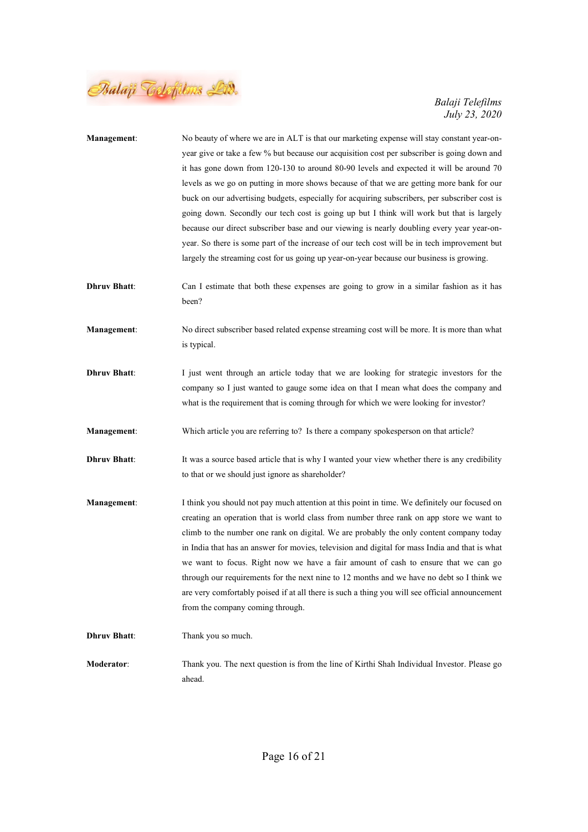

| <b>Management:</b>  | No beauty of where we are in ALT is that our marketing expense will stay constant year-on-<br>year give or take a few % but because our acquisition cost per subscriber is going down and<br>it has gone down from 120-130 to around 80-90 levels and expected it will be around 70<br>levels as we go on putting in more shows because of that we are getting more bank for our<br>buck on our advertising budgets, especially for acquiring subscribers, per subscriber cost is<br>going down. Secondly our tech cost is going up but I think will work but that is largely<br>because our direct subscriber base and our viewing is nearly doubling every year year-on-<br>year. So there is some part of the increase of our tech cost will be in tech improvement but<br>largely the streaming cost for us going up year-on-year because our business is growing. |
|---------------------|------------------------------------------------------------------------------------------------------------------------------------------------------------------------------------------------------------------------------------------------------------------------------------------------------------------------------------------------------------------------------------------------------------------------------------------------------------------------------------------------------------------------------------------------------------------------------------------------------------------------------------------------------------------------------------------------------------------------------------------------------------------------------------------------------------------------------------------------------------------------|
| <b>Dhruv Bhatt:</b> | Can I estimate that both these expenses are going to grow in a similar fashion as it has<br>been?                                                                                                                                                                                                                                                                                                                                                                                                                                                                                                                                                                                                                                                                                                                                                                      |
| Management:         | No direct subscriber based related expense streaming cost will be more. It is more than what<br>is typical.                                                                                                                                                                                                                                                                                                                                                                                                                                                                                                                                                                                                                                                                                                                                                            |
| <b>Dhruv Bhatt:</b> | I just went through an article today that we are looking for strategic investors for the<br>company so I just wanted to gauge some idea on that I mean what does the company and<br>what is the requirement that is coming through for which we were looking for investor?                                                                                                                                                                                                                                                                                                                                                                                                                                                                                                                                                                                             |
| Management:         | Which article you are referring to? Is there a company spokesperson on that article?                                                                                                                                                                                                                                                                                                                                                                                                                                                                                                                                                                                                                                                                                                                                                                                   |
| <b>Dhruv Bhatt:</b> | It was a source based article that is why I wanted your view whether there is any credibility<br>to that or we should just ignore as shareholder?                                                                                                                                                                                                                                                                                                                                                                                                                                                                                                                                                                                                                                                                                                                      |
| Management:         | I think you should not pay much attention at this point in time. We definitely our focused on<br>creating an operation that is world class from number three rank on app store we want to<br>climb to the number one rank on digital. We are probably the only content company today<br>in India that has an answer for movies, television and digital for mass India and that is what<br>we want to focus. Right now we have a fair amount of cash to ensure that we can go<br>through our requirements for the next nine to 12 months and we have no debt so I think we<br>are very comfortably poised if at all there is such a thing you will see official announcement<br>from the company coming through.                                                                                                                                                        |
| <b>Dhruv Bhatt:</b> | Thank you so much.                                                                                                                                                                                                                                                                                                                                                                                                                                                                                                                                                                                                                                                                                                                                                                                                                                                     |
| Moderator:          | Thank you. The next question is from the line of Kirthi Shah Individual Investor. Please go<br>ahead.                                                                                                                                                                                                                                                                                                                                                                                                                                                                                                                                                                                                                                                                                                                                                                  |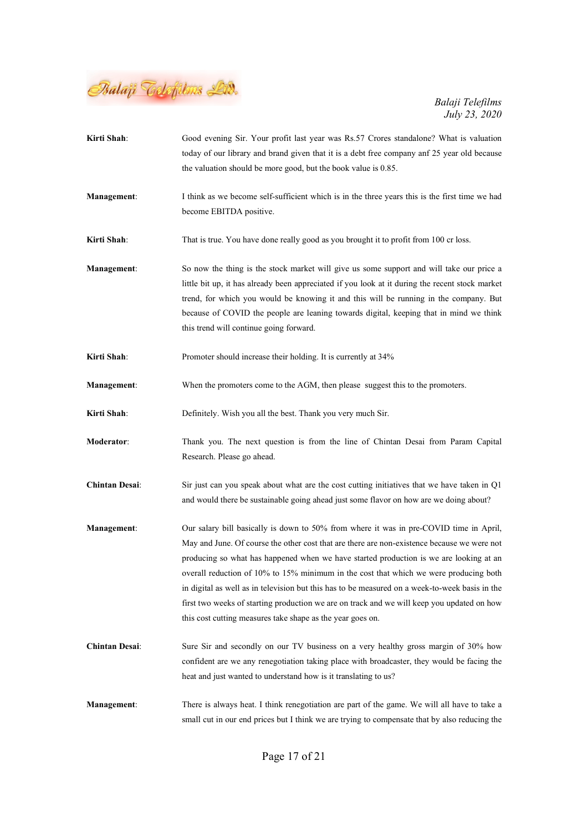

Kirti Shah: Good evening Sir. Your profit last year was Rs.57 Crores standalone? What is valuation today of our library and brand given that it is a debt free company anf 25 year old because the valuation should be more good, but the book value is 0.85. Management: I think as we become self-sufficient which is in the three years this is the first time we had become EBITDA positive. Kirti Shah: That is true. You have done really good as you brought it to profit from 100 cr loss. Management: So now the thing is the stock market will give us some support and will take our price a little bit up, it has already been appreciated if you look at it during the recent stock market trend, for which you would be knowing it and this will be running in the company. But because of COVID the people are leaning towards digital, keeping that in mind we think this trend will continue going forward. Kirti Shah: Promoter should increase their holding. It is currently at 34% Management: When the promoters come to the AGM, then please suggest this to the promoters. Kirti Shah: Definitely. Wish you all the best. Thank you very much Sir. Moderator: Thank you. The next question is from the line of Chintan Desai from Param Capital Research. Please go ahead. Chintan Desai: Sir just can you speak about what are the cost cutting initiatives that we have taken in Q1 and would there be sustainable going ahead just some flavor on how are we doing about? Management: Our salary bill basically is down to 50% from where it was in pre-COVID time in April, May and June. Of course the other cost that are there are non-existence because we were not producing so what has happened when we have started production is we are looking at an overall reduction of 10% to 15% minimum in the cost that which we were producing both in digital as well as in television but this has to be measured on a week-to-week basis in the first two weeks of starting production we are on track and we will keep you updated on how this cost cutting measures take shape as the year goes on. Chintan Desai: Sure Sir and secondly on our TV business on a very healthy gross margin of 30% how confident are we any renegotiation taking place with broadcaster, they would be facing the heat and just wanted to understand how is it translating to us? Management: There is always heat. I think renegotiation are part of the game. We will all have to take a small cut in our end prices but I think we are trying to compensate that by also reducing the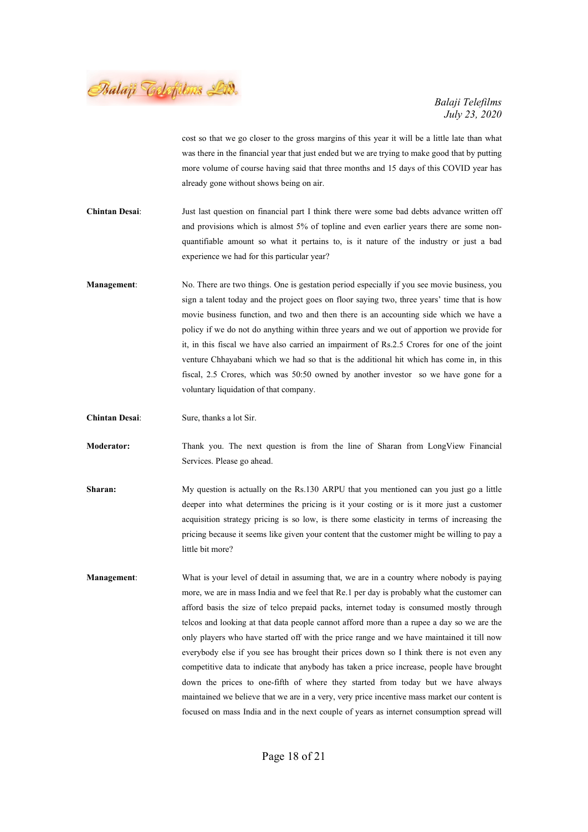Balaji Telefilms Lid.

cost so that we go closer to the gross margins of this year it will be a little late than what was there in the financial year that just ended but we are trying to make good that by putting more volume of course having said that three months and 15 days of this COVID year has already gone without shows being on air.

Chintan Desai: Just last question on financial part I think there were some bad debts advance written off and provisions which is almost 5% of topline and even earlier years there are some nonquantifiable amount so what it pertains to, is it nature of the industry or just a bad experience we had for this particular year?

Management: No. There are two things. One is gestation period especially if you see movie business, you sign a talent today and the project goes on floor saying two, three years' time that is how movie business function, and two and then there is an accounting side which we have a policy if we do not do anything within three years and we out of apportion we provide for it, in this fiscal we have also carried an impairment of Rs.2.5 Crores for one of the joint venture Chhayabani which we had so that is the additional hit which has come in, in this fiscal, 2.5 Crores, which was 50:50 owned by another investor so we have gone for a voluntary liquidation of that company.

Chintan Desai: Sure, thanks a lot Sir.

Moderator: Thank you. The next question is from the line of Sharan from LongView Financial Services. Please go ahead.

- Sharan: My question is actually on the Rs.130 ARPU that you mentioned can you just go a little deeper into what determines the pricing is it your costing or is it more just a customer acquisition strategy pricing is so low, is there some elasticity in terms of increasing the pricing because it seems like given your content that the customer might be willing to pay a little bit more?
- Management: What is your level of detail in assuming that, we are in a country where nobody is paying more, we are in mass India and we feel that Re.1 per day is probably what the customer can afford basis the size of telco prepaid packs, internet today is consumed mostly through telcos and looking at that data people cannot afford more than a rupee a day so we are the only players who have started off with the price range and we have maintained it till now everybody else if you see has brought their prices down so I think there is not even any competitive data to indicate that anybody has taken a price increase, people have brought down the prices to one-fifth of where they started from today but we have always maintained we believe that we are in a very, very price incentive mass market our content is focused on mass India and in the next couple of years as internet consumption spread will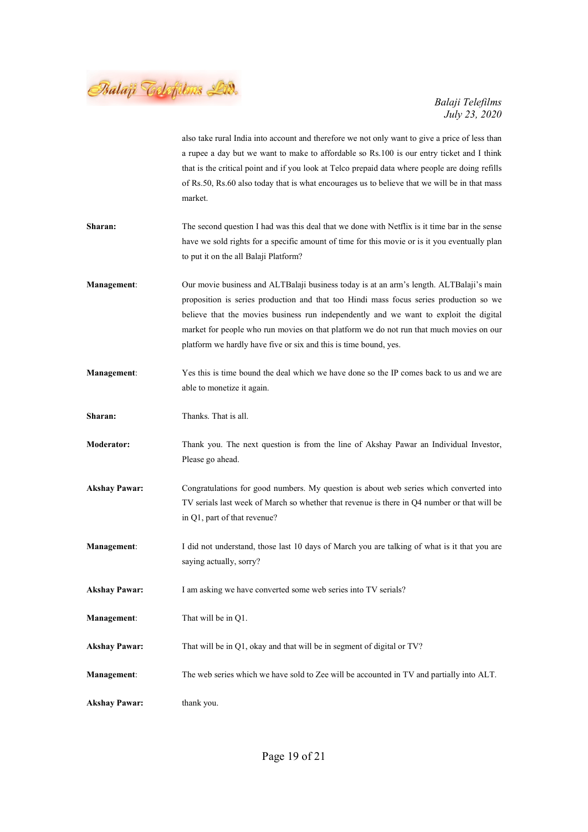Balaji Telefilms LA.

|                      | also take rural India into account and therefore we not only want to give a price of less than<br>a rupee a day but we want to make to affordable so Rs.100 is our entry ticket and I think<br>that is the critical point and if you look at Telco prepaid data where people are doing refills<br>of Rs.50, Rs.60 also today that is what encourages us to believe that we will be in that mass<br>market.                                |
|----------------------|-------------------------------------------------------------------------------------------------------------------------------------------------------------------------------------------------------------------------------------------------------------------------------------------------------------------------------------------------------------------------------------------------------------------------------------------|
| Sharan:              | The second question I had was this deal that we done with Netflix is it time bar in the sense<br>have we sold rights for a specific amount of time for this movie or is it you eventually plan<br>to put it on the all Balaji Platform?                                                                                                                                                                                                   |
| <b>Management:</b>   | Our movie business and ALTBalaji business today is at an arm's length. ALTBalaji's main<br>proposition is series production and that too Hindi mass focus series production so we<br>believe that the movies business run independently and we want to exploit the digital<br>market for people who run movies on that platform we do not run that much movies on our<br>platform we hardly have five or six and this is time bound, yes. |
| <b>Management:</b>   | Yes this is time bound the deal which we have done so the IP comes back to us and we are<br>able to monetize it again.                                                                                                                                                                                                                                                                                                                    |
| Sharan:              | Thanks. That is all.                                                                                                                                                                                                                                                                                                                                                                                                                      |
| <b>Moderator:</b>    | Thank you. The next question is from the line of Akshay Pawar an Individual Investor,<br>Please go ahead.                                                                                                                                                                                                                                                                                                                                 |
| <b>Akshay Pawar:</b> | Congratulations for good numbers. My question is about web series which converted into<br>TV serials last week of March so whether that revenue is there in Q4 number or that will be<br>in Q1, part of that revenue?                                                                                                                                                                                                                     |
| <b>Management:</b>   | I did not understand, those last 10 days of March you are talking of what is it that you are<br>saying actually, sorry?                                                                                                                                                                                                                                                                                                                   |
| <b>Akshay Pawar:</b> | I am asking we have converted some web series into TV serials?                                                                                                                                                                                                                                                                                                                                                                            |
| <b>Management:</b>   | That will be in Q1.                                                                                                                                                                                                                                                                                                                                                                                                                       |
| <b>Akshay Pawar:</b> | That will be in Q1, okay and that will be in segment of digital or TV?                                                                                                                                                                                                                                                                                                                                                                    |
| <b>Management:</b>   | The web series which we have sold to Zee will be accounted in TV and partially into ALT.                                                                                                                                                                                                                                                                                                                                                  |
| <b>Akshay Pawar:</b> | thank you.                                                                                                                                                                                                                                                                                                                                                                                                                                |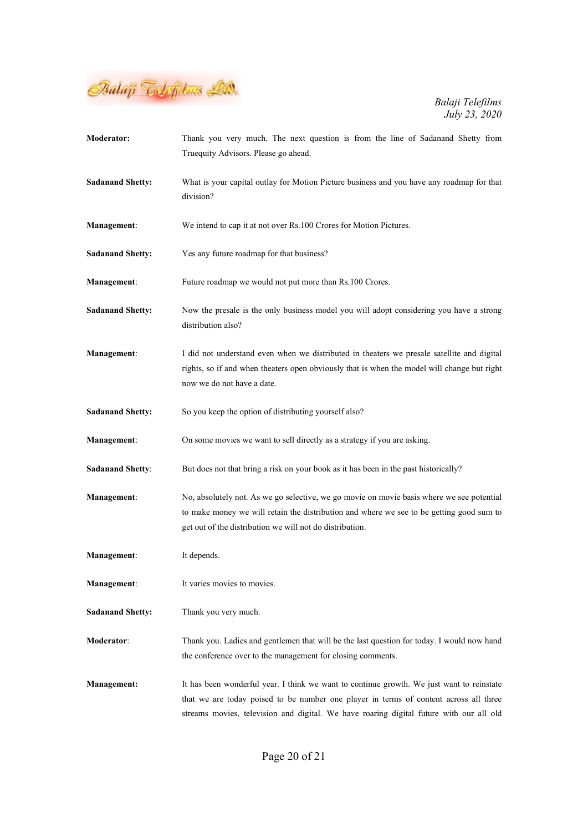

| <b>Moderator:</b>       | Thank you very much. The next question is from the line of Sadanand Shetty from<br>Truequity Advisors. Please go ahead.                                                                                                                                                       |
|-------------------------|-------------------------------------------------------------------------------------------------------------------------------------------------------------------------------------------------------------------------------------------------------------------------------|
| <b>Sadanand Shetty:</b> | What is your capital outlay for Motion Picture business and you have any roadmap for that<br>division?                                                                                                                                                                        |
| Management:             | We intend to cap it at not over Rs.100 Crores for Motion Pictures.                                                                                                                                                                                                            |
| <b>Sadanand Shetty:</b> | Yes any future roadmap for that business?                                                                                                                                                                                                                                     |
| <b>Management:</b>      | Future roadmap we would not put more than Rs.100 Crores.                                                                                                                                                                                                                      |
| <b>Sadanand Shetty:</b> | Now the presale is the only business model you will adopt considering you have a strong<br>distribution also?                                                                                                                                                                 |
| Management:             | I did not understand even when we distributed in theaters we presale satellite and digital<br>rights, so if and when theaters open obviously that is when the model will change but right<br>now we do not have a date.                                                       |
| <b>Sadanand Shetty:</b> | So you keep the option of distributing yourself also?                                                                                                                                                                                                                         |
| <b>Management:</b>      | On some movies we want to sell directly as a strategy if you are asking.                                                                                                                                                                                                      |
| <b>Sadanand Shetty:</b> | But does not that bring a risk on your book as it has been in the past historically?                                                                                                                                                                                          |
| Management:             | No, absolutely not. As we go selective, we go movie on movie basis where we see potential<br>to make money we will retain the distribution and where we see to be getting good sum to<br>get out of the distribution we will not do distribution.                             |
| <b>Management:</b>      | It depends.                                                                                                                                                                                                                                                                   |
| Management:             | It varies movies to movies.                                                                                                                                                                                                                                                   |
| <b>Sadanand Shetty:</b> | Thank you very much.                                                                                                                                                                                                                                                          |
| <b>Moderator:</b>       | Thank you. Ladies and gentlemen that will be the last question for today. I would now hand<br>the conference over to the management for closing comments.                                                                                                                     |
| <b>Management:</b>      | It has been wonderful year. I think we want to continue growth. We just want to reinstate<br>that we are today poised to be number one player in terms of content across all three<br>streams movies, television and digital. We have roaring digital future with our all old |